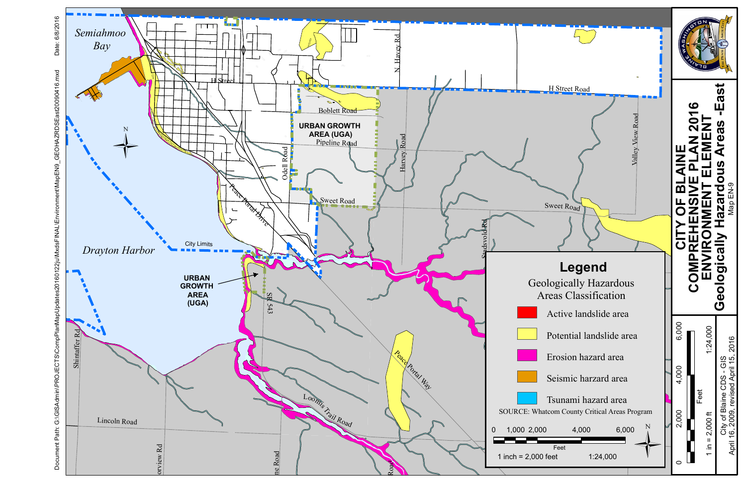